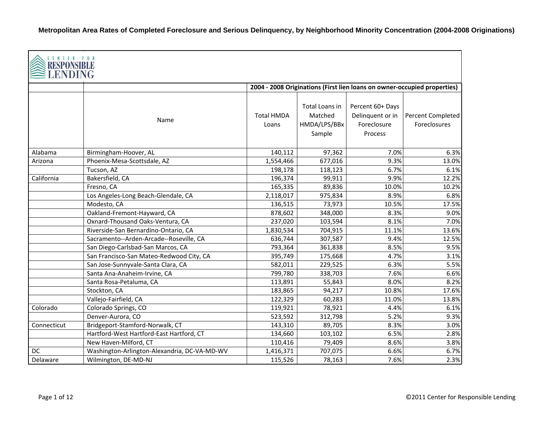| CENTER FOR<br>RESPONSIBLE<br>LENDING |                                              |                            |                                                     |                                                                |                                                                          |
|--------------------------------------|----------------------------------------------|----------------------------|-----------------------------------------------------|----------------------------------------------------------------|--------------------------------------------------------------------------|
|                                      |                                              |                            |                                                     |                                                                | 2004 - 2008 Originations (First lien loans on owner-occupied properties) |
|                                      | Name                                         | <b>Total HMDA</b><br>Loans | Total Loans in<br>Matched<br>HMDA/LPS/BBx<br>Sample | Percent 60+ Days<br>Delinquent or in<br>Foreclosure<br>Process | Percent Completed<br>Foreclosures                                        |
| Alabama                              | Birmingham-Hoover, AL                        | 140,112                    | 97,362                                              | 7.0%                                                           | 6.3%                                                                     |
| Arizona                              | Phoenix-Mesa-Scottsdale, AZ                  | 1,554,466                  | 677,016                                             | 9.3%                                                           | 13.0%                                                                    |
|                                      | Tucson, AZ                                   | 198,178                    | 118,123                                             | 6.7%                                                           | 6.1%                                                                     |
| California                           | Bakersfield, CA                              | 196,374                    | 99,911                                              | 9.9%                                                           | 12.2%                                                                    |
|                                      | Fresno, CA                                   | 165,335                    | 89,836                                              | 10.0%                                                          | 10.2%                                                                    |
|                                      | Los Angeles-Long Beach-Glendale, CA          | 2,118,017                  | 975,834                                             | 8.9%                                                           | 6.8%                                                                     |
|                                      | Modesto, CA                                  | 136,515                    | 73,973                                              | 10.5%                                                          | 17.5%                                                                    |
|                                      | Oakland-Fremont-Hayward, CA                  | 878,602                    | 348,000                                             | 8.3%                                                           | 9.0%                                                                     |
|                                      | Oxnard-Thousand Oaks-Ventura, CA             | 237,020                    | 103,594                                             | 8.1%                                                           | 7.0%                                                                     |
|                                      | Riverside-San Bernardino-Ontario, CA         | 1,830,534                  | 704,915                                             | 11.1%                                                          | 13.6%                                                                    |
|                                      | Sacramento--Arden-Arcade--Roseville, CA      | 636,744                    | 307,587                                             | 9.4%                                                           | 12.5%                                                                    |
|                                      | San Diego-Carlsbad-San Marcos, CA            | 793,364                    | 361,838                                             | 8.5%                                                           | 9.5%                                                                     |
|                                      | San Francisco-San Mateo-Redwood City, CA     | 395,749                    | 175,668                                             | 4.7%                                                           | 3.1%                                                                     |
|                                      | San Jose-Sunnyvale-Santa Clara, CA           | 582,011                    | 229,525                                             | 6.3%                                                           | 5.5%                                                                     |
|                                      | Santa Ana-Anaheim-Irvine, CA                 | 799,780                    | 338,703                                             | 7.6%                                                           | 6.6%                                                                     |
|                                      | Santa Rosa-Petaluma, CA                      | 113,891                    | 55,843                                              | 8.0%                                                           | 8.2%                                                                     |
|                                      | Stockton, CA                                 | 183,865                    | 94,217                                              | 10.8%                                                          | 17.6%                                                                    |
|                                      | Vallejo-Fairfield, CA                        | 122,329                    | 60,283                                              | 11.0%                                                          | 13.8%                                                                    |
| Colorado                             | Colorado Springs, CO                         | 119,921                    | 78,921                                              | 4.4%                                                           | 6.1%                                                                     |
|                                      | Denver-Aurora, CO                            | 523,592                    | 312,798                                             | 5.2%                                                           | 9.3%                                                                     |
| Connecticut                          | Bridgeport-Stamford-Norwalk, CT              | 143,310                    | 89,705                                              | 8.3%                                                           | 3.0%                                                                     |
|                                      | Hartford-West Hartford-East Hartford, CT     | 134,660                    | 103,102                                             | 6.5%                                                           | 2.8%                                                                     |
|                                      | New Haven-Milford, CT                        | 110,416                    | 79,409                                              | 8.6%                                                           | 3.8%                                                                     |
| DC                                   | Washington-Arlington-Alexandria, DC-VA-MD-WV | 1,416,371                  | 707,075                                             | 6.6%                                                           | 6.7%                                                                     |
| Delaware                             | Wilmington, DE-MD-NJ                         | 115,526                    | 78,163                                              | 7.6%                                                           | 2.3%                                                                     |

┑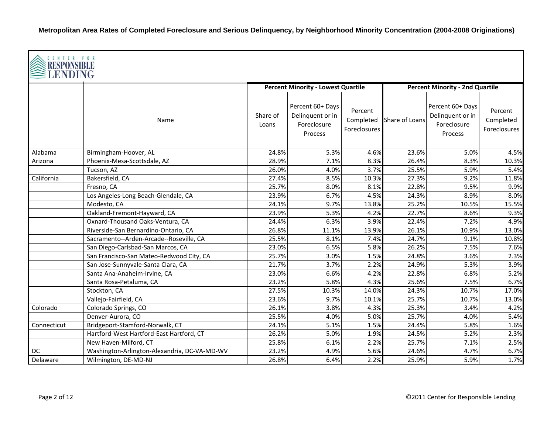| <b>CENTER FOR</b><br><b>RESPONSIBLI</b><br>LENDING |                                              |                   |                                                                |                                             |                |                                                                |                                      |  |  |
|----------------------------------------------------|----------------------------------------------|-------------------|----------------------------------------------------------------|---------------------------------------------|----------------|----------------------------------------------------------------|--------------------------------------|--|--|
|                                                    |                                              |                   | <b>Percent Minority - Lowest Quartile</b>                      |                                             |                | <b>Percent Minority - 2nd Quartile</b>                         |                                      |  |  |
|                                                    | Name                                         | Share of<br>Loans | Percent 60+ Days<br>Delinquent or in<br>Foreclosure<br>Process | Percent<br>Completed<br><b>Foreclosures</b> | Share of Loans | Percent 60+ Days<br>Delinquent or in<br>Foreclosure<br>Process | Percent<br>Completed<br>Foreclosures |  |  |
| Alabama                                            | Birmingham-Hoover, AL                        | 24.8%             | 5.3%                                                           | 4.6%                                        | 23.6%          | 5.0%                                                           | 4.5%                                 |  |  |
| Arizona                                            | Phoenix-Mesa-Scottsdale, AZ                  | 28.9%             | 7.1%                                                           | 8.3%                                        | 26.4%          | 8.3%                                                           | 10.3%                                |  |  |
|                                                    | Tucson, AZ                                   | 26.0%             | 4.0%                                                           | 3.7%                                        | 25.5%          | 5.9%                                                           | 5.4%                                 |  |  |
| California                                         | Bakersfield, CA                              | 27.4%             | 8.5%                                                           | 10.3%                                       | 27.3%          | 9.2%                                                           | 11.8%                                |  |  |
|                                                    | Fresno, CA                                   | 25.7%             | 8.0%                                                           | 8.1%                                        | 22.8%          | 9.5%                                                           | 9.9%                                 |  |  |
|                                                    | Los Angeles-Long Beach-Glendale, CA          | 23.9%             | 6.7%                                                           | 4.5%                                        | 24.3%          | 8.9%                                                           | 8.0%                                 |  |  |
|                                                    | Modesto, CA                                  | 24.1%             | 9.7%                                                           | 13.8%                                       | 25.2%          | 10.5%                                                          | 15.5%                                |  |  |
|                                                    | Oakland-Fremont-Hayward, CA                  | 23.9%             | 5.3%                                                           | 4.2%                                        | 22.7%          | 8.6%                                                           | 9.3%                                 |  |  |
|                                                    | Oxnard-Thousand Oaks-Ventura, CA             | 24.4%             | 6.3%                                                           | 3.9%                                        | 22.4%          | 7.2%                                                           | 4.9%                                 |  |  |
|                                                    | Riverside-San Bernardino-Ontario, CA         | 26.8%             | 11.1%                                                          | 13.9%                                       | 26.1%          | 10.9%                                                          | 13.0%                                |  |  |
|                                                    | Sacramento--Arden-Arcade--Roseville, CA      | 25.5%             | 8.1%                                                           | 7.4%                                        | 24.7%          | 9.1%                                                           | 10.8%                                |  |  |
|                                                    | San Diego-Carlsbad-San Marcos, CA            | 23.0%             | 6.5%                                                           | 5.8%                                        | 26.2%          | 7.5%                                                           | 7.6%                                 |  |  |
|                                                    | San Francisco-San Mateo-Redwood City, CA     | 25.7%             | 3.0%                                                           | 1.5%                                        | 24.8%          | 3.6%                                                           | 2.3%                                 |  |  |
|                                                    | San Jose-Sunnyvale-Santa Clara, CA           | 21.7%             | 3.7%                                                           | 2.2%                                        | 24.9%          | 5.3%                                                           | 3.9%                                 |  |  |
|                                                    | Santa Ana-Anaheim-Irvine, CA                 | 23.0%             | 6.6%                                                           | 4.2%                                        | 22.8%          | 6.8%                                                           | 5.2%                                 |  |  |
|                                                    | Santa Rosa-Petaluma, CA                      | 23.2%             | 5.8%                                                           | 4.3%                                        | 25.6%          | 7.5%                                                           | 6.7%                                 |  |  |
|                                                    | Stockton, CA                                 | 27.5%             | 10.3%                                                          | 14.0%                                       | 24.3%          | 10.7%                                                          | 17.0%                                |  |  |
|                                                    | Vallejo-Fairfield, CA                        | 23.6%             | 9.7%                                                           | 10.1%                                       | 25.7%          | 10.7%                                                          | 13.0%                                |  |  |
| Colorado                                           | Colorado Springs, CO                         | 26.1%             | 3.8%                                                           | 4.3%                                        | 25.3%          | 3.4%                                                           | 4.2%                                 |  |  |
|                                                    | Denver-Aurora, CO                            | 25.5%             | 4.0%                                                           | 5.0%                                        | 25.7%          | 4.0%                                                           | 5.4%                                 |  |  |
| Connecticut                                        | Bridgeport-Stamford-Norwalk, CT              | 24.1%             | 5.1%                                                           | 1.5%                                        | 24.4%          | 5.8%                                                           | 1.6%                                 |  |  |
|                                                    | Hartford-West Hartford-East Hartford, CT     | 26.2%             | 5.0%                                                           | 1.9%                                        | 24.5%          | 5.2%                                                           | 2.3%                                 |  |  |
|                                                    | New Haven-Milford, CT                        | 25.8%             | 6.1%                                                           | 2.2%                                        | 25.7%          | 7.1%                                                           | 2.5%                                 |  |  |
| DC                                                 | Washington-Arlington-Alexandria, DC-VA-MD-WV | 23.2%             | 4.9%                                                           | 5.6%                                        | 24.6%          | 4.7%                                                           | 6.7%                                 |  |  |
| Delaware                                           | Wilmington, DE-MD-NJ                         | 26.8%             | 6.4%                                                           | 2.2%                                        | 25.9%          | 5.9%                                                           | 1.7%                                 |  |  |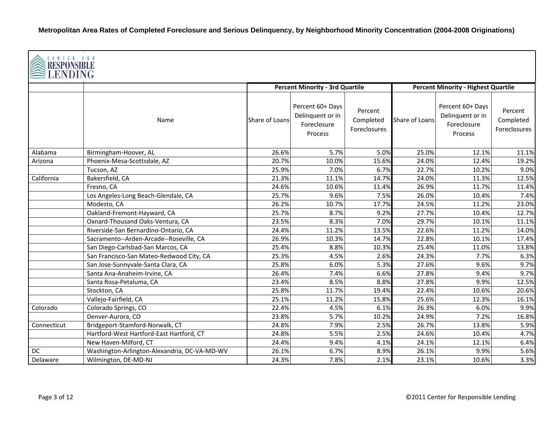| <b>CENTER FOR</b><br><b>RESPONSIBLE</b><br>LENDING<br><b>Percent Minority - Highest Quartile</b> |                                              |                |                                                                |                                      |                |                                                                |                                      |  |
|--------------------------------------------------------------------------------------------------|----------------------------------------------|----------------|----------------------------------------------------------------|--------------------------------------|----------------|----------------------------------------------------------------|--------------------------------------|--|
|                                                                                                  |                                              |                | <b>Percent Minority - 3rd Quartile</b>                         |                                      |                |                                                                |                                      |  |
|                                                                                                  | Name                                         | Share of Loans | Percent 60+ Days<br>Delinquent or in<br>Foreclosure<br>Process | Percent<br>Completed<br>Foreclosures | Share of Loans | Percent 60+ Days<br>Delinquent or in<br>Foreclosure<br>Process | Percent<br>Completed<br>Foreclosures |  |
| Alabama                                                                                          | Birmingham-Hoover, AL                        | 26.6%          | 5.7%                                                           | 5.0%                                 | 25.0%          | 12.1%                                                          | 11.1%                                |  |
| Arizona                                                                                          | Phoenix-Mesa-Scottsdale, AZ                  | 20.7%          | 10.0%                                                          | 15.6%                                | 24.0%          | 12.4%                                                          | 19.2%                                |  |
|                                                                                                  | Tucson, AZ                                   | 25.9%          | 7.0%                                                           | 6.7%                                 | 22.7%          | 10.2%                                                          | 9.0%                                 |  |
| California                                                                                       | Bakersfield, CA                              | 21.3%          | 11.1%                                                          | 14.7%                                | 24.0%          | 11.3%                                                          | 12.5%                                |  |
|                                                                                                  | Fresno, CA                                   | 24.6%          | 10.6%                                                          | 11.4%                                | 26.9%          | 11.7%                                                          | 11.4%                                |  |
|                                                                                                  | Los Angeles-Long Beach-Glendale, CA          | 25.7%          | 9.6%                                                           | 7.5%                                 | 26.0%          | 10.4%                                                          | 7.4%                                 |  |
|                                                                                                  | Modesto, CA                                  | 26.2%          | 10.7%                                                          | 17.7%                                | 24.5%          | 11.2%                                                          | 23.0%                                |  |
|                                                                                                  | Oakland-Fremont-Hayward, CA                  | 25.7%          | 8.7%                                                           | 9.2%                                 | 27.7%          | 10.4%                                                          | 12.7%                                |  |
|                                                                                                  | Oxnard-Thousand Oaks-Ventura, CA             | 23.5%          | 8.3%                                                           | 7.0%                                 | 29.7%          | 10.1%                                                          | 11.1%                                |  |
|                                                                                                  | Riverside-San Bernardino-Ontario, CA         | 24.4%          | 11.2%                                                          | 13.5%                                | 22.6%          | 11.2%                                                          | 14.0%                                |  |
|                                                                                                  | Sacramento--Arden-Arcade--Roseville, CA      | 26.9%          | 10.3%                                                          | 14.7%                                | 22.8%          | 10.1%                                                          | 17.4%                                |  |
|                                                                                                  | San Diego-Carlsbad-San Marcos, CA            | 25.4%          | 8.8%                                                           | 10.3%                                | 25.4%          | 11.0%                                                          | 13.8%                                |  |
|                                                                                                  | San Francisco-San Mateo-Redwood City, CA     | 25.3%          | 4.5%                                                           | 2.6%                                 | 24.3%          | 7.7%                                                           | 6.3%                                 |  |
|                                                                                                  | San Jose-Sunnyvale-Santa Clara, CA           | 25.8%          | 6.0%                                                           | 5.3%                                 | 27.6%          | 9.6%                                                           | 9.7%                                 |  |
|                                                                                                  | Santa Ana-Anaheim-Irvine, CA                 | 26.4%          | 7.4%                                                           | 6.6%                                 | 27.8%          | 9.4%                                                           | 9.7%                                 |  |
|                                                                                                  | Santa Rosa-Petaluma, CA                      | 23.4%          | 8.5%                                                           | 8.8%                                 | 27.8%          | 9.9%                                                           | 12.5%                                |  |
|                                                                                                  | Stockton, CA                                 | 25.8%          | 11.7%                                                          | 19.4%                                | 22.4%          | 10.6%                                                          | 20.6%                                |  |
|                                                                                                  | Vallejo-Fairfield, CA                        | 25.1%          | 11.2%                                                          | 15.8%                                | 25.6%          | 12.3%                                                          | 16.1%                                |  |
| Colorado                                                                                         | Colorado Springs, CO                         | 22.4%          | 4.5%                                                           | 6.1%                                 | 26.3%          | 6.0%                                                           | 9.9%                                 |  |
|                                                                                                  | Denver-Aurora, CO                            | 23.8%          | 5.7%                                                           | 10.2%                                | 24.9%          | 7.2%                                                           | 16.8%                                |  |
| Connecticut                                                                                      | Bridgeport-Stamford-Norwalk, CT              | 24.8%          | 7.9%                                                           | 2.5%                                 | 26.7%          | 13.8%                                                          | 5.9%                                 |  |
|                                                                                                  | Hartford-West Hartford-East Hartford, CT     | 24.8%          | 5.5%                                                           | 2.5%                                 | 24.6%          | 10.4%                                                          | 4.7%                                 |  |
|                                                                                                  | New Haven-Milford, CT                        | 24.4%          | 9.4%                                                           | 4.1%                                 | 24.1%          | 12.1%                                                          | 6.4%                                 |  |
| DC                                                                                               | Washington-Arlington-Alexandria, DC-VA-MD-WV | 26.1%          | 6.7%                                                           | 8.9%                                 | 26.1%          | 9.9%                                                           | 5.6%                                 |  |
| Delaware                                                                                         | Wilmington, DE-MD-NJ                         | 24.3%          | 7.8%                                                           | 2.1%                                 | 23.1%          | 10.6%                                                          | 3.3%                                 |  |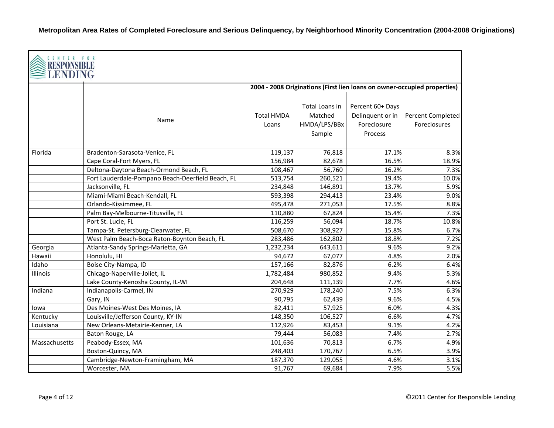| CENTER FOR<br>RESPONSIBLE |                                                   |                            |                                                     |                                                                          |                                   |
|---------------------------|---------------------------------------------------|----------------------------|-----------------------------------------------------|--------------------------------------------------------------------------|-----------------------------------|
|                           |                                                   |                            |                                                     | 2004 - 2008 Originations (First lien loans on owner-occupied properties) |                                   |
|                           | Name                                              | <b>Total HMDA</b><br>Loans | Total Loans in<br>Matched<br>HMDA/LPS/BBx<br>Sample | Percent 60+ Days<br>Delinquent or in<br>Foreclosure<br>Process           | Percent Completed<br>Foreclosures |
| Florida                   | Bradenton-Sarasota-Venice, FL                     | 119,137                    | 76,818                                              | 17.1%                                                                    | 8.3%                              |
|                           | Cape Coral-Fort Myers, FL                         | 156,984                    | 82,678                                              | 16.5%                                                                    | 18.9%                             |
|                           | Deltona-Daytona Beach-Ormond Beach, FL            | 108,467                    | 56,760                                              | 16.2%                                                                    | 7.3%                              |
|                           | Fort Lauderdale-Pompano Beach-Deerfield Beach, FL | 513,754                    | 260,521                                             | 19.4%                                                                    | 10.0%                             |
|                           | Jacksonville, FL                                  | 234,848                    | 146,891                                             | 13.7%                                                                    | 5.9%                              |
|                           | Miami-Miami Beach-Kendall, FL                     | 593,398                    | 294,413                                             | 23.4%                                                                    | 9.0%                              |
|                           | Orlando-Kissimmee, FL                             | 495,478                    | 271,053                                             | 17.5%                                                                    | 8.8%                              |
|                           | Palm Bay-Melbourne-Titusville, FL                 | 110,880                    | 67,824                                              | 15.4%                                                                    | 7.3%                              |
|                           | Port St. Lucie, FL                                | 116,259                    | 56,094                                              | 18.7%                                                                    | 10.8%                             |
|                           | Tampa-St. Petersburg-Clearwater, FL               | 508,670                    | 308,927                                             | 15.8%                                                                    | 6.7%                              |
|                           | West Palm Beach-Boca Raton-Boynton Beach, FL      | 283,486                    | 162,802                                             | 18.8%                                                                    | 7.2%                              |
| Georgia                   | Atlanta-Sandy Springs-Marietta, GA                | 1,232,234                  | 643,611                                             | 9.6%                                                                     | 9.2%                              |
| Hawaii                    | Honolulu, HI                                      | 94,672                     | 67,077                                              | 4.8%                                                                     | 2.0%                              |
| Idaho                     | Boise City-Nampa, ID                              | 157,166                    | 82,876                                              | 6.2%                                                                     | 6.4%                              |
| Illinois                  | Chicago-Naperville-Joliet, IL                     | 1,782,484                  | 980,852                                             | 9.4%                                                                     | 5.3%                              |
|                           | Lake County-Kenosha County, IL-WI                 | 204,648                    | 111,139                                             | 7.7%                                                                     | 4.6%                              |
| Indiana                   | Indianapolis-Carmel, IN                           | 270,929                    | 178,240                                             | 7.5%                                                                     | 6.3%                              |
|                           | Gary, IN                                          | 90,795                     | 62,439                                              | 9.6%                                                                     | 4.5%                              |
| lowa                      | Des Moines-West Des Moines, IA                    | 82,411                     | 57,925                                              | 6.0%                                                                     | 4.3%                              |
| Kentucky                  | Louisville/Jefferson County, KY-IN                | 148,350                    | 106,527                                             | 6.6%                                                                     | 4.7%                              |
| Louisiana                 | New Orleans-Metairie-Kenner, LA                   | 112,926                    | 83,453                                              | 9.1%                                                                     | 4.2%                              |
|                           | Baton Rouge, LA                                   | 79,444                     | 56,083                                              | 7.4%                                                                     | 2.7%                              |
| Massachusetts             | Peabody-Essex, MA                                 | 101,636                    | 70,813                                              | 6.7%                                                                     | 4.9%                              |
|                           | Boston-Quincy, MA                                 | 248,403                    | 170,767                                             | 6.5%                                                                     | 3.9%                              |
|                           | Cambridge-Newton-Framingham, MA                   | 187,370                    | 129,055                                             | 4.6%                                                                     | 3.1%                              |
|                           | Worcester, MA                                     | 91,767                     | 69,684                                              | 7.9%                                                                     | 5.5%                              |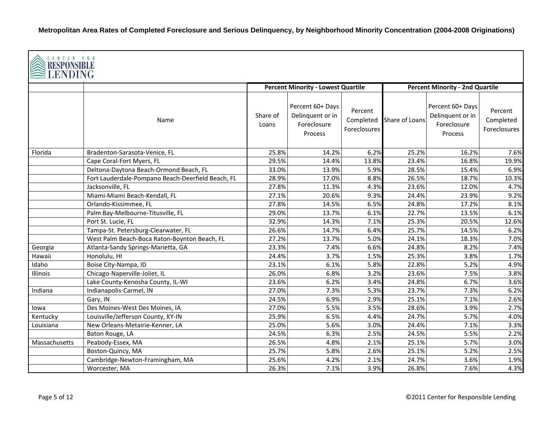|               | <b>CENTER FOR</b><br><b>RESPONSIBLE</b><br>LENDING |                   |                                                                |                                      |                |                                                                       |                                      |  |  |  |
|---------------|----------------------------------------------------|-------------------|----------------------------------------------------------------|--------------------------------------|----------------|-----------------------------------------------------------------------|--------------------------------------|--|--|--|
|               |                                                    |                   | <b>Percent Minority - Lowest Quartile</b>                      |                                      |                | <b>Percent Minority - 2nd Quartile</b>                                |                                      |  |  |  |
|               | Name                                               | Share of<br>Loans | Percent 60+ Days<br>Delinquent or in<br>Foreclosure<br>Process | Percent<br>Completed<br>Foreclosures | Share of Loans | Percent 60+ Days<br>Delinquent or in<br>Foreclosure<br><b>Process</b> | Percent<br>Completed<br>Foreclosures |  |  |  |
| Florida       | Bradenton-Sarasota-Venice, FL                      | 25.8%             | 14.2%                                                          | 6.2%                                 | 25.2%          | 16.2%                                                                 | 7.6%                                 |  |  |  |
|               | Cape Coral-Fort Myers, FL                          | 29.5%             | 14.4%                                                          | 13.8%                                | 23.4%          | 16.8%                                                                 | 19.9%                                |  |  |  |
|               | Deltona-Daytona Beach-Ormond Beach, FL             | 33.0%             | 13.9%                                                          | 5.9%                                 | 28.5%          | 15.4%                                                                 | 6.9%                                 |  |  |  |
|               | Fort Lauderdale-Pompano Beach-Deerfield Beach, FL  | 28.9%             | 17.0%                                                          | 8.8%                                 | 26.5%          | 18.7%                                                                 | 10.3%                                |  |  |  |
|               | Jacksonville, FL                                   | 27.8%             | 11.3%                                                          | 4.3%                                 | 23.6%          | 12.0%                                                                 | 4.7%                                 |  |  |  |
|               | Miami-Miami Beach-Kendall, FL                      | 27.1%             | 20.6%                                                          | 9.3%                                 | 24.4%          | 23.9%                                                                 | 9.2%                                 |  |  |  |
|               | Orlando-Kissimmee, FL                              | 27.8%             | 14.5%                                                          | 6.5%                                 | 24.8%          | 17.2%                                                                 | 8.1%                                 |  |  |  |
|               | Palm Bay-Melbourne-Titusville, FL                  | 29.0%             | 13.7%                                                          | 6.1%                                 | 22.7%          | 13.5%                                                                 | 6.1%                                 |  |  |  |
|               | Port St. Lucie, FL                                 | 32.9%             | 14.3%                                                          | 7.1%                                 | 25.3%          | 20.5%                                                                 | 12.6%                                |  |  |  |
|               | Tampa-St. Petersburg-Clearwater, FL                | 26.6%             | 14.7%                                                          | 6.4%                                 | 25.7%          | 14.5%                                                                 | 6.2%                                 |  |  |  |
|               | West Palm Beach-Boca Raton-Boynton Beach, FL       | 27.2%             | 13.7%                                                          | 5.0%                                 | 24.1%          | 18.3%                                                                 | 7.0%                                 |  |  |  |
| Georgia       | Atlanta-Sandy Springs-Marietta, GA                 | 23.3%             | 7.4%                                                           | 6.6%                                 | 24.8%          | 8.2%                                                                  | 7.4%                                 |  |  |  |
| Hawaii        | Honolulu, HI                                       | 24.4%             | 3.7%                                                           | 1.5%                                 | 25.3%          | 3.8%                                                                  | 1.7%                                 |  |  |  |
| Idaho         | Boise City-Nampa, ID                               | 23.1%             | 6.1%                                                           | 5.8%                                 | 22.8%          | 5.2%                                                                  | 4.9%                                 |  |  |  |
| Illinois      | Chicago-Naperville-Joliet, IL                      | 26.0%             | 6.8%                                                           | 3.2%                                 | 23.6%          | 7.5%                                                                  | 3.8%                                 |  |  |  |
|               | Lake County-Kenosha County, IL-WI                  | 23.6%             | 6.2%                                                           | 3.4%                                 | 24.8%          | 6.7%                                                                  | 3.6%                                 |  |  |  |
| Indiana       | Indianapolis-Carmel, IN                            | 27.0%             | 7.3%                                                           | 5.3%                                 | 23.7%          | 7.3%                                                                  | 6.2%                                 |  |  |  |
|               | Gary, IN                                           | 24.5%             | 6.9%                                                           | 2.9%                                 | 25.1%          | 7.1%                                                                  | 2.6%                                 |  |  |  |
| lowa          | Des Moines-West Des Moines, IA                     | 27.0%             | 5.5%                                                           | 3.5%                                 | 28.6%          | 3.9%                                                                  | 2.7%                                 |  |  |  |
| Kentucky      | Louisville/Jefferson County, KY-IN                 | 25.9%             | 6.5%                                                           | 4.4%                                 | 24.7%          | 5.7%                                                                  | 4.0%                                 |  |  |  |
| Louisiana     | New Orleans-Metairie-Kenner, LA                    | 25.0%             | 5.6%                                                           | 3.0%                                 | 24.4%          | 7.1%                                                                  | 3.3%                                 |  |  |  |
|               | Baton Rouge, LA                                    | 24.5%             | 6.3%                                                           | 2.5%                                 | 24.5%          | 5.5%                                                                  | 2.2%                                 |  |  |  |
| Massachusetts | Peabody-Essex, MA                                  | 26.5%             | 4.8%                                                           | 2.1%                                 | 25.1%          | 5.7%                                                                  | 3.0%                                 |  |  |  |
|               | Boston-Quincy, MA                                  | 25.7%             | 5.8%                                                           | 2.6%                                 | 25.1%          | 5.2%                                                                  | 2.5%                                 |  |  |  |
|               | Cambridge-Newton-Framingham, MA                    | 25.6%             | 4.2%                                                           | 2.1%                                 | 24.7%          | 3.6%                                                                  | 1.9%                                 |  |  |  |
|               | Worcester, MA                                      | 26.3%             | 7.1%                                                           | 3.9%                                 | 26.8%          | 7.6%                                                                  | 4.3%                                 |  |  |  |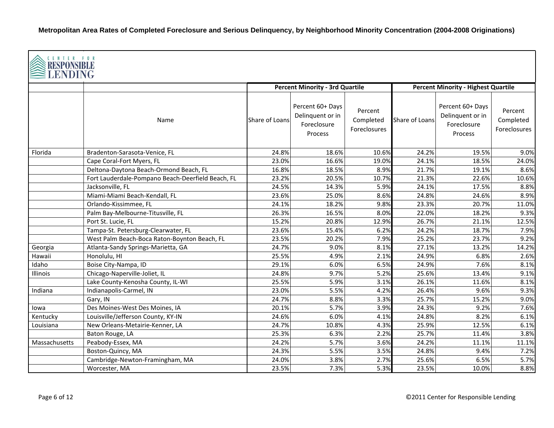| <b>CENTER FOR</b><br><b>RESPONSIBLE</b><br><b>LENDING</b> |                                                   |                |                                                                |                                      |                |                                                                       |                                      |  |  |
|-----------------------------------------------------------|---------------------------------------------------|----------------|----------------------------------------------------------------|--------------------------------------|----------------|-----------------------------------------------------------------------|--------------------------------------|--|--|
|                                                           |                                                   |                | <b>Percent Minority - 3rd Quartile</b>                         |                                      |                | <b>Percent Minority - Highest Quartile</b>                            |                                      |  |  |
|                                                           | Name                                              | Share of Loans | Percent 60+ Days<br>Delinquent or in<br>Foreclosure<br>Process | Percent<br>Completed<br>Foreclosures | Share of Loans | Percent 60+ Days<br>Delinquent or in<br>Foreclosure<br><b>Process</b> | Percent<br>Completed<br>Foreclosures |  |  |
| Florida                                                   | Bradenton-Sarasota-Venice, FL                     | 24.8%          | 18.6%                                                          | 10.6%                                | 24.2%          | 19.5%                                                                 | 9.0%                                 |  |  |
|                                                           | Cape Coral-Fort Myers, FL                         | 23.0%          | 16.6%                                                          | 19.0%                                | 24.1%          | 18.5%                                                                 | 24.0%                                |  |  |
|                                                           | Deltona-Daytona Beach-Ormond Beach, FL            | 16.8%          | 18.5%                                                          | 8.9%                                 | 21.7%          | 19.1%                                                                 | 8.6%                                 |  |  |
|                                                           | Fort Lauderdale-Pompano Beach-Deerfield Beach, FL | 23.2%          | 20.5%                                                          | 10.7%                                | 21.3%          | 22.6%                                                                 | 10.6%                                |  |  |
|                                                           | Jacksonville, FL                                  | 24.5%          | 14.3%                                                          | 5.9%                                 | 24.1%          | 17.5%                                                                 | 8.8%                                 |  |  |
|                                                           | Miami-Miami Beach-Kendall, FL                     | 23.6%          | 25.0%                                                          | 8.6%                                 | 24.8%          | 24.6%                                                                 | 8.9%                                 |  |  |
|                                                           | Orlando-Kissimmee, FL                             | 24.1%          | 18.2%                                                          | 9.8%                                 | 23.3%          | 20.7%                                                                 | 11.0%                                |  |  |
|                                                           | Palm Bay-Melbourne-Titusville, FL                 | 26.3%          | 16.5%                                                          | 8.0%                                 | 22.0%          | 18.2%                                                                 | 9.3%                                 |  |  |
|                                                           | Port St. Lucie, FL                                | 15.2%          | 20.8%                                                          | 12.9%                                | 26.7%          | 21.1%                                                                 | 12.5%                                |  |  |
|                                                           | Tampa-St. Petersburg-Clearwater, FL               | 23.6%          | 15.4%                                                          | 6.2%                                 | 24.2%          | 18.7%                                                                 | 7.9%                                 |  |  |
|                                                           | West Palm Beach-Boca Raton-Boynton Beach, FL      | 23.5%          | 20.2%                                                          | 7.9%                                 | 25.2%          | 23.7%                                                                 | 9.2%                                 |  |  |
| Georgia                                                   | Atlanta-Sandy Springs-Marietta, GA                | 24.7%          | 9.0%                                                           | 8.1%                                 | 27.1%          | 13.2%                                                                 | 14.2%                                |  |  |
| Hawaii                                                    | Honolulu, HI                                      | 25.5%          | 4.9%                                                           | 2.1%                                 | 24.9%          | 6.8%                                                                  | 2.6%                                 |  |  |
| Idaho                                                     | Boise City-Nampa, ID                              | 29.1%          | 6.0%                                                           | 6.5%                                 | 24.9%          | 7.6%                                                                  | 8.1%                                 |  |  |
| Illinois                                                  | Chicago-Naperville-Joliet, IL                     | 24.8%          | 9.7%                                                           | 5.2%                                 | 25.6%          | 13.4%                                                                 | 9.1%                                 |  |  |
|                                                           | Lake County-Kenosha County, IL-WI                 | 25.5%          | 5.9%                                                           | 3.1%                                 | 26.1%          | 11.6%                                                                 | 8.1%                                 |  |  |
| Indiana                                                   | Indianapolis-Carmel, IN                           | 23.0%          | 5.5%                                                           | 4.2%                                 | 26.4%          | 9.6%                                                                  | 9.3%                                 |  |  |
|                                                           | Gary, IN                                          | 24.7%          | 8.8%                                                           | 3.3%                                 | 25.7%          | 15.2%                                                                 | 9.0%                                 |  |  |
| lowa                                                      | Des Moines-West Des Moines, IA                    | 20.1%          | 5.7%                                                           | 3.9%                                 | 24.3%          | 9.2%                                                                  | 7.6%                                 |  |  |
| Kentucky                                                  | Louisville/Jefferson County, KY-IN                | 24.6%          | 6.0%                                                           | 4.1%                                 | 24.8%          | 8.2%                                                                  | 6.1%                                 |  |  |
| Louisiana                                                 | New Orleans-Metairie-Kenner, LA                   | 24.7%          | 10.8%                                                          | 4.3%                                 | 25.9%          | 12.5%                                                                 | 6.1%                                 |  |  |
|                                                           | Baton Rouge, LA                                   | 25.3%          | 6.3%                                                           | 2.2%                                 | 25.7%          | 11.4%                                                                 | 3.8%                                 |  |  |
| Massachusetts                                             | Peabody-Essex, MA                                 | 24.2%          | 5.7%                                                           | 3.6%                                 | 24.2%          | 11.1%                                                                 | 11.1%                                |  |  |
|                                                           | Boston-Quincy, MA                                 | 24.3%          | 5.5%                                                           | 3.5%                                 | 24.8%          | 9.4%                                                                  | 7.2%                                 |  |  |
|                                                           | Cambridge-Newton-Framingham, MA                   | 24.0%          | 3.8%                                                           | 2.7%                                 | 25.6%          | 6.5%                                                                  | 5.7%                                 |  |  |
|                                                           | Worcester, MA                                     | 23.5%          | 7.3%                                                           | 5.3%                                 | 23.5%          | 10.0%                                                                 | 8.8%                                 |  |  |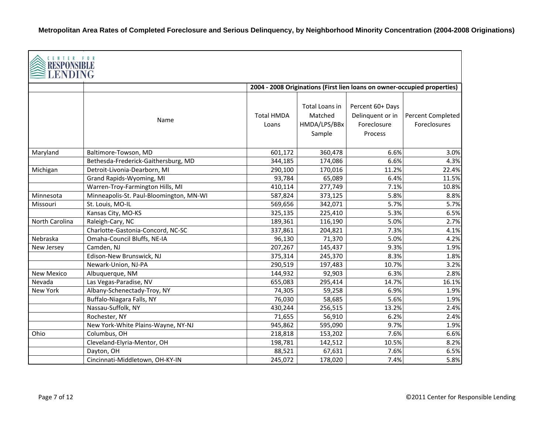| CENTER FOR<br>RESPONSIBL<br><b>LENDING</b> |                                         |                            |                                                     |                                                                |                                                                          |
|--------------------------------------------|-----------------------------------------|----------------------------|-----------------------------------------------------|----------------------------------------------------------------|--------------------------------------------------------------------------|
|                                            |                                         |                            |                                                     |                                                                | 2004 - 2008 Originations (First lien loans on owner-occupied properties) |
|                                            | Name                                    | <b>Total HMDA</b><br>Loans | Total Loans in<br>Matched<br>HMDA/LPS/BBx<br>Sample | Percent 60+ Days<br>Delinquent or in<br>Foreclosure<br>Process | Percent Completed<br>Foreclosures                                        |
| Maryland                                   | Baltimore-Towson, MD                    | 601,172                    | 360,478                                             | 6.6%                                                           | 3.0%                                                                     |
|                                            | Bethesda-Frederick-Gaithersburg, MD     | 344,185                    | 174,086                                             | 6.6%                                                           | 4.3%                                                                     |
| Michigan                                   | Detroit-Livonia-Dearborn, MI            | 290,100                    | 170,016                                             | 11.2%                                                          | 22.4%                                                                    |
|                                            | Grand Rapids-Wyoming, MI                | 93,784                     | 65,089                                              | 6.4%                                                           | 11.5%                                                                    |
|                                            | Warren-Troy-Farmington Hills, MI        | 410,114                    | 277,749                                             | 7.1%                                                           | 10.8%                                                                    |
| Minnesota                                  | Minneapolis-St. Paul-Bloomington, MN-WI | 587,824                    | 373,125                                             | 5.8%                                                           | 8.8%                                                                     |
| Missouri                                   | St. Louis, MO-IL                        | 569,656                    | 342,071                                             | 5.7%                                                           | 5.7%                                                                     |
|                                            | Kansas City, MO-KS                      | 325,135                    | 225,410                                             | 5.3%                                                           | 6.5%                                                                     |
| North Carolina                             | Raleigh-Cary, NC                        | 189,361                    | 116,190                                             | 5.0%                                                           | 2.7%                                                                     |
|                                            | Charlotte-Gastonia-Concord, NC-SC       | 337,861                    | 204,821                                             | 7.3%                                                           | 4.1%                                                                     |
| Nebraska                                   | Omaha-Council Bluffs, NE-IA             | 96,130                     | 71,370                                              | 5.0%                                                           | 4.2%                                                                     |
| New Jersey                                 | Camden, NJ                              | 207,267                    | 145,437                                             | 9.3%                                                           | 1.9%                                                                     |
|                                            | Edison-New Brunswick, NJ                | 375,314                    | 245,370                                             | 8.3%                                                           | 1.8%                                                                     |
|                                            | Newark-Union, NJ-PA                     | 290,519                    | 197,483                                             | 10.7%                                                          | 3.2%                                                                     |
| <b>New Mexico</b>                          | Albuquerque, NM                         | 144,932                    | 92,903                                              | 6.3%                                                           | 2.8%                                                                     |
| Nevada                                     | Las Vegas-Paradise, NV                  | 655,083                    | 295,414                                             | 14.7%                                                          | 16.1%                                                                    |
| <b>New York</b>                            | Albany-Schenectady-Troy, NY             | 74,305                     | 59,258                                              | 6.9%                                                           | 1.9%                                                                     |
|                                            | Buffalo-Niagara Falls, NY               | 76,030                     | 58,685                                              | 5.6%                                                           | 1.9%                                                                     |
|                                            | Nassau-Suffolk, NY                      | 430,244                    | 256,515                                             | 13.2%                                                          | 2.4%                                                                     |
|                                            | Rochester, NY                           | 71,655                     | 56,910                                              | 6.2%                                                           | 2.4%                                                                     |
|                                            | New York-White Plains-Wayne, NY-NJ      | 945,862                    | 595,090                                             | 9.7%                                                           | 1.9%                                                                     |
| Ohio                                       | Columbus, OH                            | 218,818                    | 153,202                                             | 7.6%                                                           | 6.6%                                                                     |
|                                            | Cleveland-Elyria-Mentor, OH             | 198,781                    | 142,512                                             | 10.5%                                                          | 8.2%                                                                     |
|                                            | Dayton, OH                              | 88,521                     | 67,631                                              | 7.6%                                                           | 6.5%                                                                     |
|                                            | Cincinnati-Middletown, OH-KY-IN         | 245,072                    | 178,020                                             | 7.4%                                                           | 5.8%                                                                     |

 $\overline{\phantom{a}}$ 

Г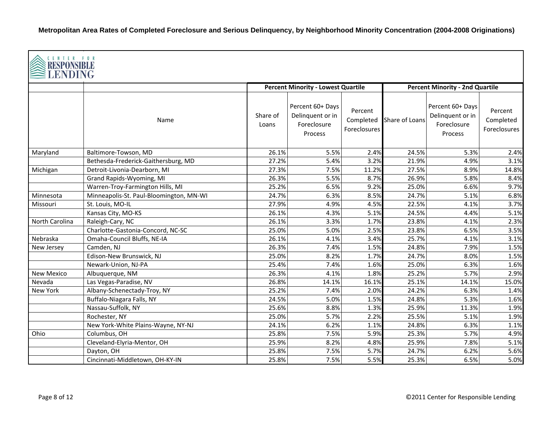| CENTER FOR<br>RESPONSIBLE<br>LENDING |                                         |                   |                                                                |                                      |                |                                                                |                                      |  |  |
|--------------------------------------|-----------------------------------------|-------------------|----------------------------------------------------------------|--------------------------------------|----------------|----------------------------------------------------------------|--------------------------------------|--|--|
|                                      |                                         |                   | <b>Percent Minority - Lowest Quartile</b>                      |                                      |                | <b>Percent Minority - 2nd Quartile</b>                         |                                      |  |  |
|                                      | Name                                    | Share of<br>Loans | Percent 60+ Days<br>Delinquent or in<br>Foreclosure<br>Process | Percent<br>Completed<br>Foreclosures | Share of Loans | Percent 60+ Days<br>Delinquent or in<br>Foreclosure<br>Process | Percent<br>Completed<br>Foreclosures |  |  |
| Maryland                             | Baltimore-Towson, MD                    | 26.1%             | 5.5%                                                           | 2.4%                                 | 24.5%          | 5.3%                                                           | 2.4%                                 |  |  |
|                                      | Bethesda-Frederick-Gaithersburg, MD     | 27.2%             | 5.4%                                                           | 3.2%                                 | 21.9%          | 4.9%                                                           | 3.1%                                 |  |  |
| Michigan                             | Detroit-Livonia-Dearborn, MI            | 27.3%             | 7.5%                                                           | 11.2%                                | 27.5%          | 8.9%                                                           | 14.8%                                |  |  |
|                                      | Grand Rapids-Wyoming, MI                | 26.3%             | 5.5%                                                           | 8.7%                                 | 26.9%          | 5.8%                                                           | 8.4%                                 |  |  |
|                                      | Warren-Troy-Farmington Hills, MI        | 25.2%             | 6.5%                                                           | 9.2%                                 | 25.0%          | 6.6%                                                           | 9.7%                                 |  |  |
| Minnesota                            | Minneapolis-St. Paul-Bloomington, MN-WI | 24.7%             | 6.3%                                                           | 8.5%                                 | 24.7%          | 5.1%                                                           | 6.8%                                 |  |  |
| Missouri                             | St. Louis, MO-IL                        | 27.9%             | 4.9%                                                           | 4.5%                                 | 22.5%          | 4.1%                                                           | 3.7%                                 |  |  |
|                                      | Kansas City, MO-KS                      | 26.1%             | 4.3%                                                           | 5.1%                                 | 24.5%          | 4.4%                                                           | 5.1%                                 |  |  |
| North Carolina                       | Raleigh-Cary, NC                        | 26.1%             | 3.3%                                                           | 1.7%                                 | 23.8%          | 4.1%                                                           | 2.3%                                 |  |  |
|                                      | Charlotte-Gastonia-Concord, NC-SC       | 25.0%             | 5.0%                                                           | 2.5%                                 | 23.8%          | 6.5%                                                           | 3.5%                                 |  |  |
| Nebraska                             | Omaha-Council Bluffs, NE-IA             | 26.1%             | 4.1%                                                           | 3.4%                                 | 25.7%          | 4.1%                                                           | 3.1%                                 |  |  |
| New Jersey                           | Camden, NJ                              | 26.3%             | 7.4%                                                           | 1.5%                                 | 24.8%          | 7.9%                                                           | 1.5%                                 |  |  |
|                                      | Edison-New Brunswick, NJ                | 25.0%             | 8.2%                                                           | 1.7%                                 | 24.7%          | 8.0%                                                           | 1.5%                                 |  |  |
|                                      | Newark-Union, NJ-PA                     | 25.4%             | 7.4%                                                           | 1.6%                                 | 25.0%          | 6.3%                                                           | 1.6%                                 |  |  |
| <b>New Mexico</b>                    | Albuquerque, NM                         | 26.3%             | 4.1%                                                           | 1.8%                                 | 25.2%          | 5.7%                                                           | 2.9%                                 |  |  |
| Nevada                               | Las Vegas-Paradise, NV                  | 26.8%             | 14.1%                                                          | 16.1%                                | 25.1%          | 14.1%                                                          | 15.0%                                |  |  |
| New York                             | Albany-Schenectady-Troy, NY             | 25.2%             | 7.4%                                                           | 2.0%                                 | 24.2%          | 6.3%                                                           | 1.4%                                 |  |  |
|                                      | Buffalo-Niagara Falls, NY               | 24.5%             | 5.0%                                                           | 1.5%                                 | 24.8%          | 5.3%                                                           | 1.6%                                 |  |  |
|                                      | Nassau-Suffolk, NY                      | 25.6%             | 8.8%                                                           | 1.3%                                 | 25.9%          | 11.3%                                                          | 1.9%                                 |  |  |
|                                      | Rochester, NY                           | 25.0%             | 5.7%                                                           | 2.2%                                 | 25.5%          | 5.1%                                                           | 1.9%                                 |  |  |
|                                      | New York-White Plains-Wayne, NY-NJ      | 24.1%             | 6.2%                                                           | 1.1%                                 | 24.8%          | 6.3%                                                           | 1.1%                                 |  |  |
| Ohio                                 | Columbus, OH                            | 25.8%             | 7.5%                                                           | 5.9%                                 | 25.3%          | 5.7%                                                           | 4.9%                                 |  |  |
|                                      | Cleveland-Elyria-Mentor, OH             | 25.9%             | 8.2%                                                           | 4.8%                                 | 25.9%          | 7.8%                                                           | 5.1%                                 |  |  |
|                                      | Dayton, OH                              | 25.8%             | 7.5%                                                           | 5.7%                                 | 24.7%          | 6.2%                                                           | 5.6%                                 |  |  |
|                                      | Cincinnati-Middletown, OH-KY-IN         | 25.8%             | 7.5%                                                           | 5.5%                                 | 25.3%          | 6.5%                                                           | 5.0%                                 |  |  |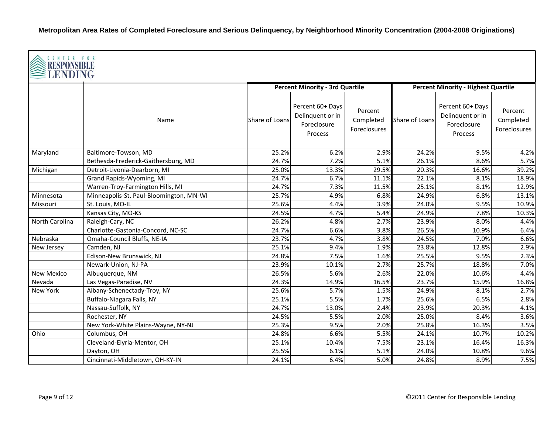| CENTER FOR<br><b>RESPONSIBLE</b><br>LENDING |                                         |                |                                                                |                                      |                |                                                                |                                      |  |
|---------------------------------------------|-----------------------------------------|----------------|----------------------------------------------------------------|--------------------------------------|----------------|----------------------------------------------------------------|--------------------------------------|--|
|                                             |                                         |                | <b>Percent Minority - 3rd Quartile</b>                         |                                      |                | <b>Percent Minority - Highest Quartile</b>                     |                                      |  |
|                                             | Name                                    | Share of Loans | Percent 60+ Days<br>Delinquent or in<br>Foreclosure<br>Process | Percent<br>Completed<br>Foreclosures | Share of Loans | Percent 60+ Days<br>Delinquent or in<br>Foreclosure<br>Process | Percent<br>Completed<br>Foreclosures |  |
| Maryland                                    | Baltimore-Towson, MD                    | 25.2%          | 6.2%                                                           | 2.9%                                 | 24.2%          | 9.5%                                                           | 4.2%                                 |  |
|                                             | Bethesda-Frederick-Gaithersburg, MD     | 24.7%          | 7.2%                                                           | 5.1%                                 | 26.1%          | 8.6%                                                           | 5.7%                                 |  |
| Michigan                                    | Detroit-Livonia-Dearborn, MI            | 25.0%          | 13.3%                                                          | 29.5%                                | 20.3%          | 16.6%                                                          | 39.2%                                |  |
|                                             | Grand Rapids-Wyoming, MI                | 24.7%          | 6.7%                                                           | 11.1%                                | 22.1%          | 8.1%                                                           | 18.9%                                |  |
|                                             | Warren-Troy-Farmington Hills, MI        | 24.7%          | 7.3%                                                           | 11.5%                                | 25.1%          | 8.1%                                                           | 12.9%                                |  |
| Minnesota                                   | Minneapolis-St. Paul-Bloomington, MN-WI | 25.7%          | 4.9%                                                           | 6.8%                                 | 24.9%          | 6.8%                                                           | 13.1%                                |  |
| Missouri                                    | St. Louis, MO-IL                        | 25.6%          | 4.4%                                                           | 3.9%                                 | 24.0%          | 9.5%                                                           | 10.9%                                |  |
|                                             | Kansas City, MO-KS                      | 24.5%          | 4.7%                                                           | 5.4%                                 | 24.9%          | 7.8%                                                           | 10.3%                                |  |
| North Carolina                              | Raleigh-Cary, NC                        | 26.2%          | 4.8%                                                           | 2.7%                                 | 23.9%          | 8.0%                                                           | 4.4%                                 |  |
|                                             | Charlotte-Gastonia-Concord, NC-SC       | 24.7%          | 6.6%                                                           | 3.8%                                 | 26.5%          | 10.9%                                                          | 6.4%                                 |  |
| Nebraska                                    | Omaha-Council Bluffs, NE-IA             | 23.7%          | 4.7%                                                           | 3.8%                                 | 24.5%          | 7.0%                                                           | 6.6%                                 |  |
| New Jersey                                  | Camden, NJ                              | 25.1%          | 9.4%                                                           | 1.9%                                 | 23.8%          | 12.8%                                                          | 2.9%                                 |  |
|                                             | Edison-New Brunswick, NJ                | 24.8%          | 7.5%                                                           | 1.6%                                 | 25.5%          | 9.5%                                                           | 2.3%                                 |  |
|                                             | Newark-Union, NJ-PA                     | 23.9%          | 10.1%                                                          | 2.7%                                 | 25.7%          | 18.8%                                                          | 7.0%                                 |  |
| New Mexico                                  | Albuquerque, NM                         | 26.5%          | 5.6%                                                           | 2.6%                                 | 22.0%          | 10.6%                                                          | 4.4%                                 |  |
| Nevada                                      | Las Vegas-Paradise, NV                  | 24.3%          | 14.9%                                                          | 16.5%                                | 23.7%          | 15.9%                                                          | 16.8%                                |  |
| New York                                    | Albany-Schenectady-Troy, NY             | 25.6%          | 5.7%                                                           | 1.5%                                 | 24.9%          | 8.1%                                                           | 2.7%                                 |  |
|                                             | Buffalo-Niagara Falls, NY               | 25.1%          | 5.5%                                                           | 1.7%                                 | 25.6%          | 6.5%                                                           | 2.8%                                 |  |
|                                             | Nassau-Suffolk, NY                      | 24.7%          | 13.0%                                                          | 2.4%                                 | 23.9%          | 20.3%                                                          | 4.1%                                 |  |
|                                             | Rochester, NY                           | 24.5%          | 5.5%                                                           | 2.0%                                 | 25.0%          | 8.4%                                                           | 3.6%                                 |  |
|                                             | New York-White Plains-Wayne, NY-NJ      | 25.3%          | 9.5%                                                           | 2.0%                                 | 25.8%          | 16.3%                                                          | 3.5%                                 |  |
| Ohio                                        | Columbus, OH                            | 24.8%          | 6.6%                                                           | 5.5%                                 | 24.1%          | 10.7%                                                          | 10.2%                                |  |
|                                             | Cleveland-Elyria-Mentor, OH             | 25.1%          | 10.4%                                                          | 7.5%                                 | 23.1%          | 16.4%                                                          | 16.3%                                |  |
|                                             | Dayton, OH                              | 25.5%          | 6.1%                                                           | 5.1%                                 | 24.0%          | 10.8%                                                          | 9.6%                                 |  |
|                                             | Cincinnati-Middletown, OH-KY-IN         | 24.1%          | 6.4%                                                           | 5.0%                                 | 24.8%          | 8.9%                                                           | 7.5%                                 |  |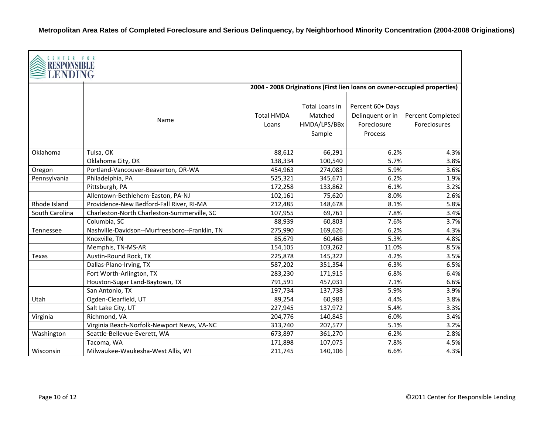| CENTER FOR<br>RESPONSIBL<br>LENDING |                                                |                            |                                                     |                                                                |                                                                          |
|-------------------------------------|------------------------------------------------|----------------------------|-----------------------------------------------------|----------------------------------------------------------------|--------------------------------------------------------------------------|
|                                     |                                                |                            |                                                     |                                                                | 2004 - 2008 Originations (First lien loans on owner-occupied properties) |
|                                     | Name                                           | <b>Total HMDA</b><br>Loans | Total Loans in<br>Matched<br>HMDA/LPS/BBx<br>Sample | Percent 60+ Days<br>Delinquent or in<br>Foreclosure<br>Process | Percent Completed<br><b>Foreclosures</b>                                 |
| Oklahoma                            | Tulsa, OK                                      | 88,612                     | 66,291                                              | 6.2%                                                           | 4.3%                                                                     |
|                                     | Oklahoma City, OK                              | 138,334                    | 100,540                                             | 5.7%                                                           | 3.8%                                                                     |
| Oregon                              | Portland-Vancouver-Beaverton, OR-WA            | 454,963                    | 274,083                                             | 5.9%                                                           | 3.6%                                                                     |
| Pennsylvania                        | Philadelphia, PA                               | 525,321                    | 345,671                                             | 6.2%                                                           | 1.9%                                                                     |
|                                     | Pittsburgh, PA                                 | 172,258                    | 133,862                                             | 6.1%                                                           | 3.2%                                                                     |
|                                     | Allentown-Bethlehem-Easton, PA-NJ              | 102,161                    | 75,620                                              | 8.0%                                                           | 2.6%                                                                     |
| Rhode Island                        | Providence-New Bedford-Fall River, RI-MA       | 212,485                    | 148,678                                             | 8.1%                                                           | 5.8%                                                                     |
| South Carolina                      | Charleston-North Charleston-Summerville, SC    | 107,955                    | 69,761                                              | 7.8%                                                           | 3.4%                                                                     |
|                                     | Columbia, SC                                   | 88,939                     | 60,803                                              | 7.6%                                                           | 3.7%                                                                     |
| Tennessee                           | Nashville-Davidson--Murfreesboro--Franklin, TN | 275,990                    | 169,626                                             | 6.2%                                                           | 4.3%                                                                     |
|                                     | Knoxville, TN                                  | 85,679                     | 60,468                                              | 5.3%                                                           | 4.8%                                                                     |
|                                     | Memphis, TN-MS-AR                              | 154,105                    | 103,262                                             | 11.0%                                                          | 8.5%                                                                     |
| Texas                               | Austin-Round Rock, TX                          | 225,878                    | 145,322                                             | 4.2%                                                           | 3.5%                                                                     |
|                                     | Dallas-Plano-Irving, TX                        | 587,202                    | 351,354                                             | 6.3%                                                           | 6.5%                                                                     |
|                                     | Fort Worth-Arlington, TX                       | 283,230                    | 171,915                                             | 6.8%                                                           | 6.4%                                                                     |
|                                     | Houston-Sugar Land-Baytown, TX                 | 791,591                    | 457,031                                             | 7.1%                                                           | 6.6%                                                                     |
|                                     | San Antonio, TX                                | 197,734                    | 137,738                                             | 5.9%                                                           | 3.9%                                                                     |
| Utah                                | Ogden-Clearfield, UT                           | 89,254                     | 60,983                                              | 4.4%                                                           | 3.8%                                                                     |
|                                     | Salt Lake City, UT                             | 227,945                    | 137,972                                             | 5.4%                                                           | 3.3%                                                                     |
| Virginia                            | Richmond, VA                                   | 204,776                    | 140,845                                             | 6.0%                                                           | 3.4%                                                                     |
|                                     | Virginia Beach-Norfolk-Newport News, VA-NC     | 313,740                    | 207,577                                             | 5.1%                                                           | 3.2%                                                                     |
| Washington                          | Seattle-Bellevue-Everett, WA                   | 673,897                    | 361,270                                             | 6.2%                                                           | 2.8%                                                                     |
|                                     | Tacoma, WA                                     | 171,898                    | 107,075                                             | 7.8%                                                           | 4.5%                                                                     |
| Wisconsin                           | Milwaukee-Waukesha-West Allis, WI              | 211,745                    | 140,106                                             | 6.6%                                                           | 4.3%                                                                     |

 $\overline{\phantom{a}}$ 

Г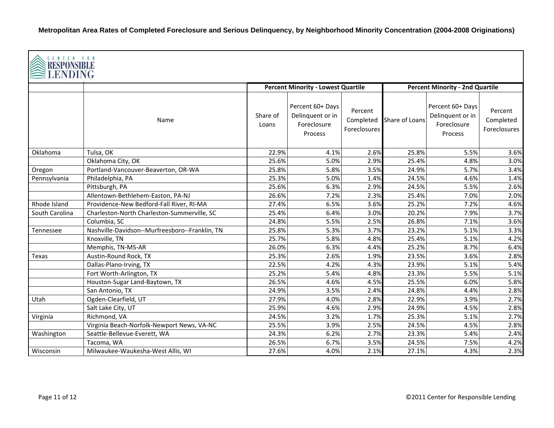| CENTER FOR<br><b>RESPONSIBLE</b><br><b>LENDING</b> |                                                |                   |                                                                |                                      |                                        |                                                                |                                      |  |  |
|----------------------------------------------------|------------------------------------------------|-------------------|----------------------------------------------------------------|--------------------------------------|----------------------------------------|----------------------------------------------------------------|--------------------------------------|--|--|
|                                                    |                                                |                   | <b>Percent Minority - Lowest Quartile</b>                      |                                      | <b>Percent Minority - 2nd Quartile</b> |                                                                |                                      |  |  |
|                                                    | Name                                           | Share of<br>Loans | Percent 60+ Days<br>Delinquent or in<br>Foreclosure<br>Process | Percent<br>Completed<br>Foreclosures | Share of Loans                         | Percent 60+ Days<br>Delinquent or in<br>Foreclosure<br>Process | Percent<br>Completed<br>Foreclosures |  |  |
| Oklahoma                                           | Tulsa, OK                                      | 22.9%             | 4.1%                                                           | 2.6%                                 | 25.8%                                  | 5.5%                                                           | 3.6%                                 |  |  |
|                                                    | Oklahoma City, OK                              | 25.6%             | 5.0%                                                           | 2.9%                                 | 25.4%                                  | 4.8%                                                           | 3.0%                                 |  |  |
| Oregon                                             | Portland-Vancouver-Beaverton, OR-WA            | 25.8%             | 5.8%                                                           | 3.5%                                 | 24.9%                                  | 5.7%                                                           | 3.4%                                 |  |  |
| Pennsylvania                                       | Philadelphia, PA                               | 25.3%             | 5.0%                                                           | 1.4%                                 | 24.5%                                  | 4.6%                                                           | 1.4%                                 |  |  |
|                                                    | Pittsburgh, PA                                 | 25.6%             | 6.3%                                                           | 2.9%                                 | 24.5%                                  | 5.5%                                                           | 2.6%                                 |  |  |
|                                                    | Allentown-Bethlehem-Easton, PA-NJ              | 26.6%             | 7.2%                                                           | 2.3%                                 | 25.4%                                  | 7.0%                                                           | 2.0%                                 |  |  |
| Rhode Island                                       | Providence-New Bedford-Fall River, RI-MA       | 27.4%             | 6.5%                                                           | 3.6%                                 | 25.2%                                  | 7.2%                                                           | 4.6%                                 |  |  |
| South Carolina                                     | Charleston-North Charleston-Summerville, SC    | 25.4%             | 6.4%                                                           | 3.0%                                 | 20.2%                                  | 7.9%                                                           | 3.7%                                 |  |  |
|                                                    | Columbia, SC                                   | 24.8%             | 5.5%                                                           | 2.5%                                 | 26.8%                                  | 7.1%                                                           | 3.6%                                 |  |  |
| Tennessee                                          | Nashville-Davidson--Murfreesboro--Franklin, TN | 25.8%             | 5.3%                                                           | 3.7%                                 | 23.2%                                  | 5.1%                                                           | 3.3%                                 |  |  |
|                                                    | Knoxville, TN                                  | 25.7%             | 5.8%                                                           | 4.8%                                 | 25.4%                                  | 5.1%                                                           | 4.2%                                 |  |  |
|                                                    | Memphis, TN-MS-AR                              | 26.0%             | 6.3%                                                           | 4.4%                                 | 25.2%                                  | 8.7%                                                           | 6.4%                                 |  |  |
| Texas                                              | Austin-Round Rock, TX                          | 25.3%             | 2.6%                                                           | 1.9%                                 | 23.5%                                  | 3.6%                                                           | 2.8%                                 |  |  |
|                                                    | Dallas-Plano-Irving, TX                        | 22.5%             | 4.2%                                                           | 4.3%                                 | 23.9%                                  | 5.1%                                                           | 5.4%                                 |  |  |
|                                                    | Fort Worth-Arlington, TX                       | 25.2%             | 5.4%                                                           | 4.8%                                 | 23.3%                                  | 5.5%                                                           | 5.1%                                 |  |  |
|                                                    | Houston-Sugar Land-Baytown, TX                 | 26.5%             | 4.6%                                                           | 4.5%                                 | 25.5%                                  | 6.0%                                                           | 5.8%                                 |  |  |
|                                                    | San Antonio, TX                                | 24.9%             | 3.5%                                                           | 2.4%                                 | 24.8%                                  | 4.4%                                                           | 2.8%                                 |  |  |
| Utah                                               | Ogden-Clearfield, UT                           | 27.9%             | 4.0%                                                           | 2.8%                                 | 22.9%                                  | 3.9%                                                           | 2.7%                                 |  |  |
|                                                    | Salt Lake City, UT                             | 25.9%             | 4.6%                                                           | 2.9%                                 | 24.9%                                  | 4.5%                                                           | 2.8%                                 |  |  |
| Virginia                                           | Richmond, VA                                   | 24.5%             | 3.2%                                                           | 1.7%                                 | 25.3%                                  | 5.1%                                                           | 2.7%                                 |  |  |
|                                                    | Virginia Beach-Norfolk-Newport News, VA-NC     | 25.5%             | 3.9%                                                           | 2.5%                                 | 24.5%                                  | 4.5%                                                           | 2.8%                                 |  |  |
| Washington                                         | Seattle-Bellevue-Everett, WA                   | 24.3%             | 6.2%                                                           | 2.7%                                 | 23.3%                                  | 5.4%                                                           | 2.4%                                 |  |  |
|                                                    | Tacoma, WA                                     | 26.5%             | 6.7%                                                           | 3.5%                                 | 24.5%                                  | 7.5%                                                           | 4.2%                                 |  |  |
| Wisconsin                                          | Milwaukee-Waukesha-West Allis, WI              | 27.6%             | 4.0%                                                           | 2.1%                                 | 27.1%                                  | 4.3%                                                           | 2.3%                                 |  |  |